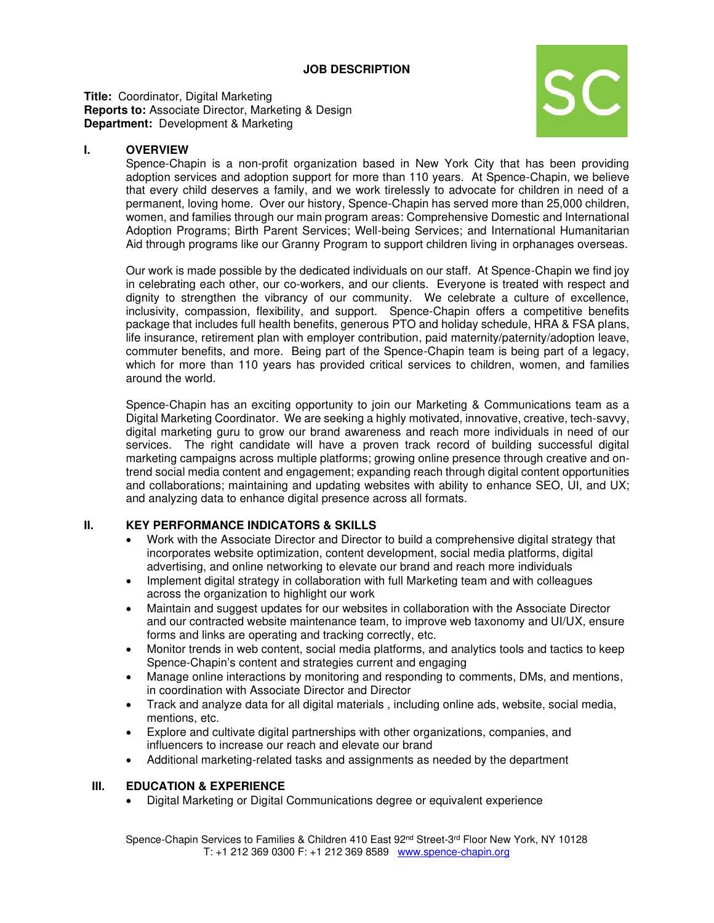**Title:** Coordinator, Digital Marketing **Reports to:** Associate Director, Marketing & Design **Department:** Development & Marketing



## **I. OVERVIEW**

Spence-Chapin is a non-profit organization based in New York City that has been providing adoption services and adoption support for more than 110 years. At Spence-Chapin, we believe that every child deserves a family, and we work tirelessly to advocate for children in need of a permanent, loving home. Over our history, Spence-Chapin has served more than 25,000 children, women, and families through our main program areas: Comprehensive Domestic and International Adoption Programs; Birth Parent Services; Well-being Services; and International Humanitarian Aid through programs like our Granny Program to support children living in orphanages overseas.

Our work is made possible by the dedicated individuals on our staff. At Spence-Chapin we find joy in celebrating each other, our co-workers, and our clients. Everyone is treated with respect and dignity to strengthen the vibrancy of our community. We celebrate a culture of excellence, inclusivity, compassion, flexibility, and support. Spence-Chapin offers a competitive benefits package that includes full health benefits, generous PTO and holiday schedule, HRA & FSA plans, life insurance, retirement plan with employer contribution, paid maternity/paternity/adoption leave, commuter benefits, and more. Being part of the Spence-Chapin team is being part of a legacy, which for more than 110 years has provided critical services to children, women, and families around the world.

Spence-Chapin has an exciting opportunity to join our Marketing & Communications team as a Digital Marketing Coordinator. We are seeking a highly motivated, innovative, creative, tech-savvy, digital marketing guru to grow our brand awareness and reach more individuals in need of our services. The right candidate will have a proven track record of building successful digital marketing campaigns across multiple platforms; growing online presence through creative and ontrend social media content and engagement; expanding reach through digital content opportunities and collaborations; maintaining and updating websites with ability to enhance SEO, UI, and UX; and analyzing data to enhance digital presence across all formats.

### **II. KEY PERFORMANCE INDICATORS & SKILLS**

- Work with the Associate Director and Director to build a comprehensive digital strategy that incorporates website optimization, content development, social media platforms, digital advertising, and online networking to elevate our brand and reach more individuals
- Implement digital strategy in collaboration with full Marketing team and with colleagues across the organization to highlight our work
- Maintain and suggest updates for our websites in collaboration with the Associate Director and our contracted website maintenance team, to improve web taxonomy and UI/UX, ensure forms and links are operating and tracking correctly, etc.
- Monitor trends in web content, social media platforms, and analytics tools and tactics to keep Spence-Chapin's content and strategies current and engaging
- Manage online interactions by monitoring and responding to comments, DMs, and mentions, in coordination with Associate Director and Director
- Track and analyze data for all digital materials , including online ads, website, social media, mentions, etc.
- Explore and cultivate digital partnerships with other organizations, companies, and influencers to increase our reach and elevate our brand
- Additional marketing-related tasks and assignments as needed by the department

### **III. EDUCATION & EXPERIENCE**

• Digital Marketing or Digital Communications degree or equivalent experience

Spence-Chapin Services to Families & Children 410 East 92<sup>nd</sup> Street-3<sup>rd</sup> Floor New York, NY 10128 T: +1 212 369 0300 F: +1 212 369 8589 [www.spence-chapin.org](http://www.spence-chapin.org/)